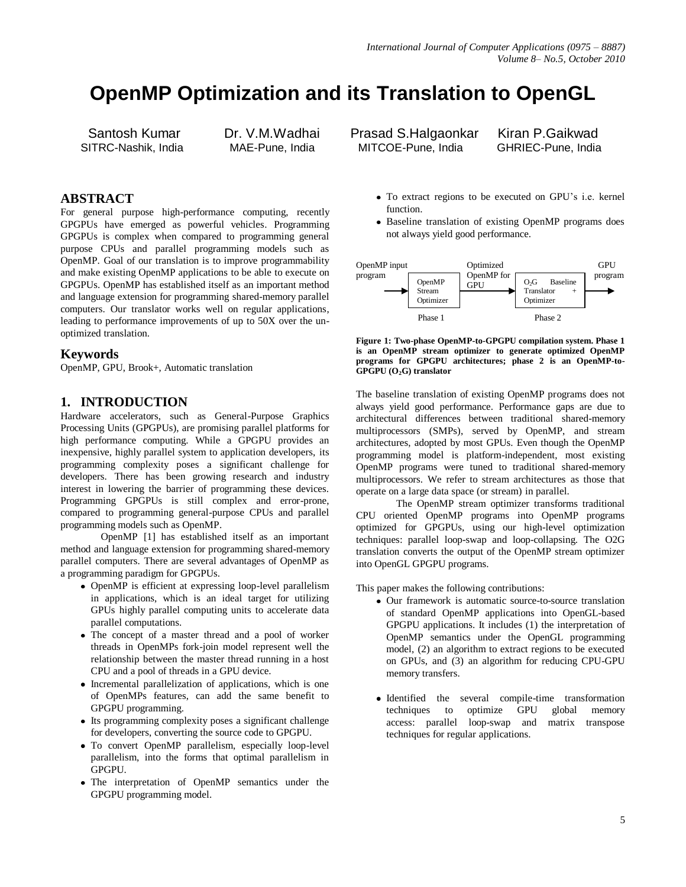# **OpenMP Optimization and its Translation to OpenGL**

 Santosh Kumar SITRC-Nashik, India Dr. V.M.Wadhai MAE-Pune, India

## **ABSTRACT**

For general purpose high-performance computing, recently GPGPUs have emerged as powerful vehicles. Programming GPGPUs is complex when compared to programming general purpose CPUs and parallel programming models such as OpenMP. Goal of our translation is to improve programmability and make existing OpenMP applications to be able to execute on GPGPUs. OpenMP has established itself as an important method and language extension for programming shared-memory parallel computers. Our translator works well on regular applications, leading to performance improvements of up to 50X over the unoptimized translation.

#### **Keywords**

OpenMP, GPU, Brook+, Automatic translation

#### **1. INTRODUCTION**

Hardware accelerators, such as General-Purpose Graphics Processing Units (GPGPUs), are promising parallel platforms for high performance computing. While a GPGPU provides an inexpensive, highly parallel system to application developers, its programming complexity poses a significant challenge for developers. There has been growing research and industry interest in lowering the barrier of programming these devices. Programming GPGPUs is still complex and error-prone, compared to programming general-purpose CPUs and parallel programming models such as OpenMP.

OpenMP [1] has established itself as an important method and language extension for programming shared-memory parallel computers. There are several advantages of OpenMP as a programming paradigm for GPGPUs.

- OpenMP is efficient at expressing loop-level parallelism in applications, which is an ideal target for utilizing GPUs highly parallel computing units to accelerate data parallel computations.
- The concept of a master thread and a pool of worker threads in OpenMPs fork-join model represent well the relationship between the master thread running in a host CPU and a pool of threads in a GPU device.
- Incremental parallelization of applications, which is one of OpenMPs features, can add the same benefit to GPGPU programming.
- Its programming complexity poses a significant challenge for developers, converting the source code to GPGPU.
- To convert OpenMP parallelism, especially loop-level parallelism, into the forms that optimal parallelism in GPGPU.
- The interpretation of OpenMP semantics under the GPGPU programming model.

 Prasad S.Halgaonkar MITCOE-Pune, India

 Kiran P.Gaikwad GHRIEC-Pune, India

- To extract regions to be executed on GPU's i.e. kernel function.
- Baseline translation of existing OpenMP programs does not always yield good performance.



**Figure 1: Two-phase OpenMP-to-GPGPU compilation system. Phase 1 is an OpenMP stream optimizer to generate optimized OpenMP programs for GPGPU architectures; phase 2 is an OpenMP-to-GPGPU (O2G) translator**

The baseline translation of existing OpenMP programs does not always yield good performance. Performance gaps are due to architectural differences between traditional shared-memory multiprocessors (SMPs), served by OpenMP, and stream architectures, adopted by most GPUs. Even though the OpenMP programming model is platform-independent, most existing OpenMP programs were tuned to traditional shared-memory multiprocessors. We refer to stream architectures as those that operate on a large data space (or stream) in parallel.

The OpenMP stream optimizer transforms traditional CPU oriented OpenMP programs into OpenMP programs optimized for GPGPUs, using our high-level optimization techniques: parallel loop-swap and loop-collapsing. The O2G translation converts the output of the OpenMP stream optimizer into OpenGL GPGPU programs.

This paper makes the following contributions:

- Our framework is automatic source-to-source translation of standard OpenMP applications into OpenGL-based GPGPU applications. It includes (1) the interpretation of OpenMP semantics under the OpenGL programming model, (2) an algorithm to extract regions to be executed on GPUs, and (3) an algorithm for reducing CPU-GPU memory transfers.
- Identified the several compile-time transformation techniques to optimize GPU global memory access: parallel loop-swap and matrix transpose techniques for regular applications.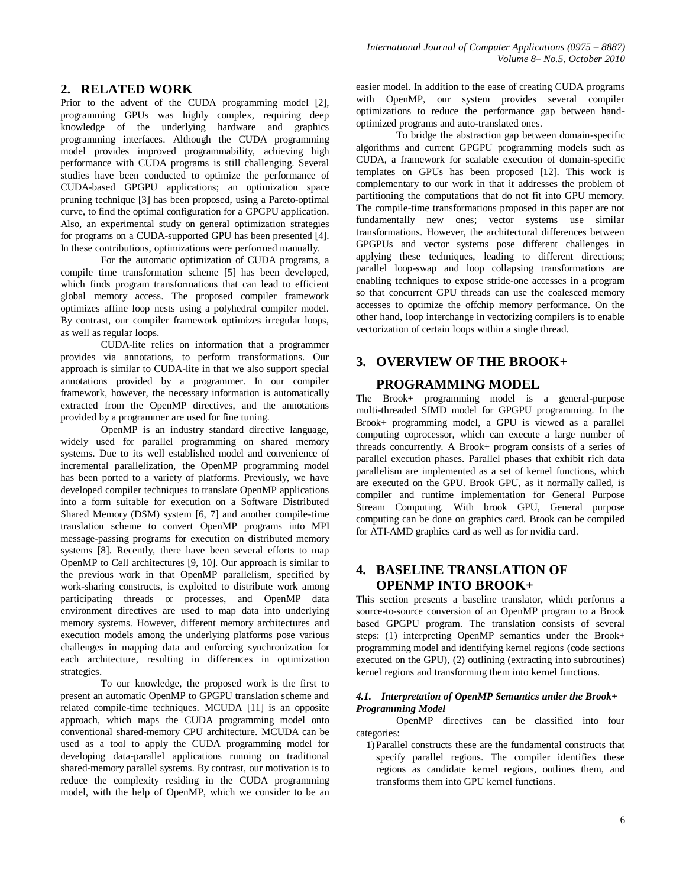## **2. RELATED WORK**

Prior to the advent of the CUDA programming model [2], programming GPUs was highly complex, requiring deep knowledge of the underlying hardware and graphics programming interfaces. Although the CUDA programming model provides improved programmability, achieving high performance with CUDA programs is still challenging. Several studies have been conducted to optimize the performance of CUDA-based GPGPU applications; an optimization space pruning technique [3] has been proposed, using a Pareto-optimal curve, to find the optimal configuration for a GPGPU application. Also, an experimental study on general optimization strategies for programs on a CUDA-supported GPU has been presented [4]. In these contributions, optimizations were performed manually.

For the automatic optimization of CUDA programs, a compile time transformation scheme [5] has been developed, which finds program transformations that can lead to efficient global memory access. The proposed compiler framework optimizes affine loop nests using a polyhedral compiler model. By contrast, our compiler framework optimizes irregular loops, as well as regular loops.

CUDA-lite relies on information that a programmer provides via annotations, to perform transformations. Our approach is similar to CUDA-lite in that we also support special annotations provided by a programmer. In our compiler framework, however, the necessary information is automatically extracted from the OpenMP directives, and the annotations provided by a programmer are used for fine tuning.

OpenMP is an industry standard directive language, widely used for parallel programming on shared memory systems. Due to its well established model and convenience of incremental parallelization, the OpenMP programming model has been ported to a variety of platforms. Previously, we have developed compiler techniques to translate OpenMP applications into a form suitable for execution on a Software Distributed Shared Memory (DSM) system [6, 7] and another compile-time translation scheme to convert OpenMP programs into MPI message-passing programs for execution on distributed memory systems [8]. Recently, there have been several efforts to map OpenMP to Cell architectures [9, 10]. Our approach is similar to the previous work in that OpenMP parallelism, specified by work-sharing constructs, is exploited to distribute work among participating threads or processes, and OpenMP data environment directives are used to map data into underlying memory systems. However, different memory architectures and execution models among the underlying platforms pose various challenges in mapping data and enforcing synchronization for each architecture, resulting in differences in optimization strategies.

To our knowledge, the proposed work is the first to present an automatic OpenMP to GPGPU translation scheme and related compile-time techniques. MCUDA [11] is an opposite approach, which maps the CUDA programming model onto conventional shared-memory CPU architecture. MCUDA can be used as a tool to apply the CUDA programming model for developing data-parallel applications running on traditional shared-memory parallel systems. By contrast, our motivation is to reduce the complexity residing in the CUDA programming model, with the help of OpenMP, which we consider to be an easier model. In addition to the ease of creating CUDA programs with OpenMP, our system provides several compiler optimizations to reduce the performance gap between handoptimized programs and auto-translated ones.

To bridge the abstraction gap between domain-specific algorithms and current GPGPU programming models such as CUDA, a framework for scalable execution of domain-specific templates on GPUs has been proposed [12]. This work is complementary to our work in that it addresses the problem of partitioning the computations that do not fit into GPU memory. The compile-time transformations proposed in this paper are not fundamentally new ones; vector systems use similar transformations. However, the architectural differences between GPGPUs and vector systems pose different challenges in applying these techniques, leading to different directions; parallel loop-swap and loop collapsing transformations are enabling techniques to expose stride-one accesses in a program so that concurrent GPU threads can use the coalesced memory accesses to optimize the offchip memory performance. On the other hand, loop interchange in vectorizing compilers is to enable vectorization of certain loops within a single thread.

## **3. OVERVIEW OF THE BROOK+**

## **PROGRAMMING MODEL**

The Brook+ programming model is a general-purpose multi-threaded SIMD model for GPGPU programming. In the Brook+ programming model, a GPU is viewed as a parallel computing coprocessor, which can execute a large number of threads concurrently. A Brook+ program consists of a series of parallel execution phases. Parallel phases that exhibit rich data parallelism are implemented as a set of kernel functions, which are executed on the GPU. Brook GPU, as it normally called, is compiler and runtime implementation for General Purpose Stream Computing. With brook GPU, General purpose computing can be done on graphics card. Brook can be compiled for ATI-AMD graphics card as well as for nvidia card.

# **4. BASELINE TRANSLATION OF OPENMP INTO BROOK+**

This section presents a baseline translator, which performs a source-to-source conversion of an OpenMP program to a Brook based GPGPU program. The translation consists of several steps: (1) interpreting OpenMP semantics under the Brook+ programming model and identifying kernel regions (code sections executed on the GPU), (2) outlining (extracting into subroutines) kernel regions and transforming them into kernel functions.

#### *4.1. Interpretation of OpenMP Semantics under the Brook+ Programming Model*

OpenMP directives can be classified into four categories:

1) Parallel constructs these are the fundamental constructs that specify parallel regions. The compiler identifies these regions as candidate kernel regions, outlines them, and transforms them into GPU kernel functions.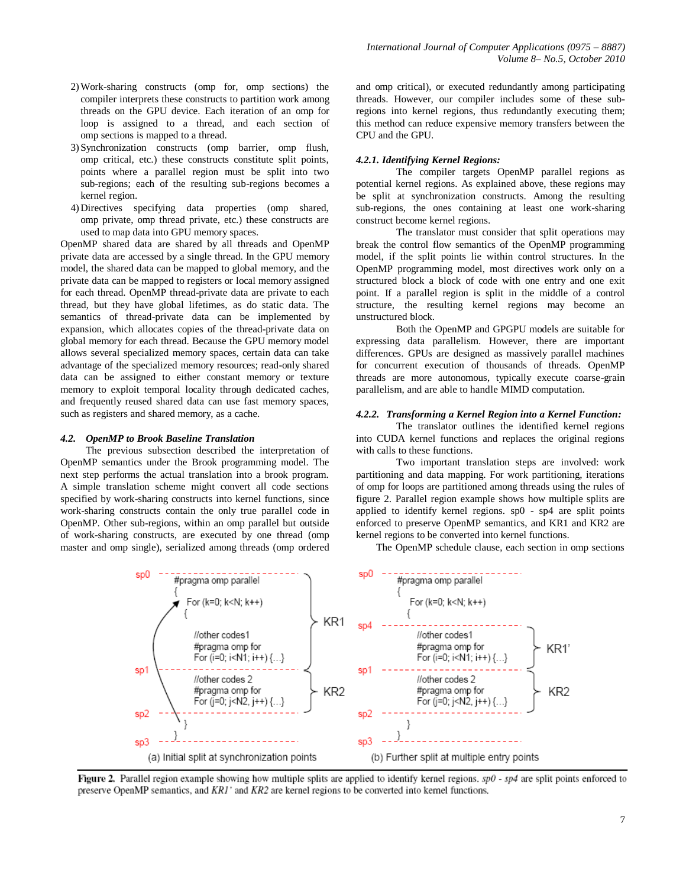- 2)Work-sharing constructs (omp for, omp sections) the compiler interprets these constructs to partition work among threads on the GPU device. Each iteration of an omp for loop is assigned to a thread, and each section of omp sections is mapped to a thread.
- 3) Synchronization constructs (omp barrier, omp flush, omp critical, etc.) these constructs constitute split points, points where a parallel region must be split into two sub-regions; each of the resulting sub-regions becomes a kernel region.
- 4)Directives specifying data properties (omp shared, omp private, omp thread private, etc.) these constructs are used to map data into GPU memory spaces.

OpenMP shared data are shared by all threads and OpenMP private data are accessed by a single thread. In the GPU memory model, the shared data can be mapped to global memory, and the private data can be mapped to registers or local memory assigned for each thread. OpenMP thread-private data are private to each thread, but they have global lifetimes, as do static data. The semantics of thread-private data can be implemented by expansion, which allocates copies of the thread-private data on global memory for each thread. Because the GPU memory model allows several specialized memory spaces, certain data can take advantage of the specialized memory resources; read-only shared data can be assigned to either constant memory or texture memory to exploit temporal locality through dedicated caches, and frequently reused shared data can use fast memory spaces, such as registers and shared memory, as a cache.

#### *4.2. OpenMP to Brook Baseline Translation*

The previous subsection described the interpretation of OpenMP semantics under the Brook programming model. The next step performs the actual translation into a brook program. A simple translation scheme might convert all code sections specified by work-sharing constructs into kernel functions, since work-sharing constructs contain the only true parallel code in OpenMP. Other sub-regions, within an omp parallel but outside of work-sharing constructs, are executed by one thread (omp master and omp single), serialized among threads (omp ordered

and omp critical), or executed redundantly among participating threads. However, our compiler includes some of these subregions into kernel regions, thus redundantly executing them; this method can reduce expensive memory transfers between the CPU and the GPU.

#### *4.2.1. Identifying Kernel Regions:*

The compiler targets OpenMP parallel regions as potential kernel regions. As explained above, these regions may be split at synchronization constructs. Among the resulting sub-regions, the ones containing at least one work-sharing construct become kernel regions.

The translator must consider that split operations may break the control flow semantics of the OpenMP programming model, if the split points lie within control structures. In the OpenMP programming model, most directives work only on a structured block a block of code with one entry and one exit point. If a parallel region is split in the middle of a control structure, the resulting kernel regions may become an unstructured block.

Both the OpenMP and GPGPU models are suitable for expressing data parallelism. However, there are important differences. GPUs are designed as massively parallel machines for concurrent execution of thousands of threads. OpenMP threads are more autonomous, typically execute coarse-grain parallelism, and are able to handle MIMD computation.

#### *4.2.2. Transforming a Kernel Region into a Kernel Function:*

The translator outlines the identified kernel regions into CUDA kernel functions and replaces the original regions with calls to these functions.

Two important translation steps are involved: work partitioning and data mapping. For work partitioning, iterations of omp for loops are partitioned among threads using the rules of figure 2. Parallel region example shows how multiple splits are applied to identify kernel regions. sp0 - sp4 are split points enforced to preserve OpenMP semantics, and KR1 and KR2 are kernel regions to be converted into kernel functions.

The OpenMP schedule clause, each section in omp sections



Figure 2. Parallel region example showing how multiple splits are applied to identify kernel regions.  $sp0 - sp4$  are split points enforced to preserve OpenMP semantics, and  $KR1'$  and  $KR2$  are kernel regions to be converted into kernel functions.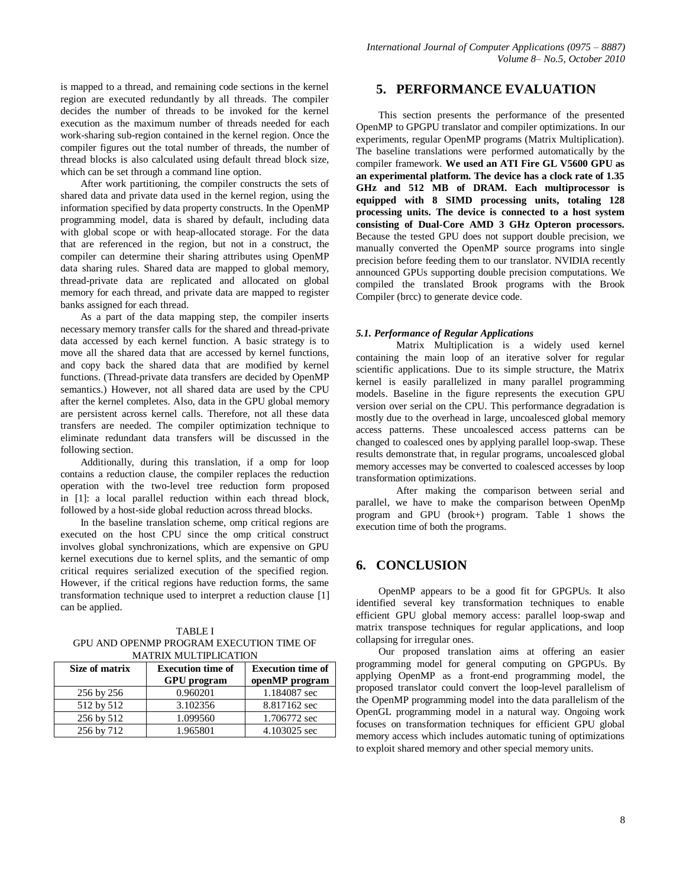is mapped to a thread, and remaining code sections in the kernel region are executed redundantly by all threads. The compiler decides the number of threads to be invoked for the kernel execution as the maximum number of threads needed for each work-sharing sub-region contained in the kernel region. Once the compiler figures out the total number of threads, the number of thread blocks is also calculated using default thread block size, which can be set through a command line option.

After work partitioning, the compiler constructs the sets of shared data and private data used in the kernel region, using the information specified by data property constructs. In the OpenMP programming model, data is shared by default, including data with global scope or with heap-allocated storage. For the data that are referenced in the region, but not in a construct, the compiler can determine their sharing attributes using OpenMP data sharing rules. Shared data are mapped to global memory, thread-private data are replicated and allocated on global memory for each thread, and private data are mapped to register banks assigned for each thread.

As a part of the data mapping step, the compiler inserts necessary memory transfer calls for the shared and thread-private data accessed by each kernel function. A basic strategy is to move all the shared data that are accessed by kernel functions, and copy back the shared data that are modified by kernel functions. (Thread-private data transfers are decided by OpenMP semantics.) However, not all shared data are used by the CPU after the kernel completes. Also, data in the GPU global memory are persistent across kernel calls. Therefore, not all these data transfers are needed. The compiler optimization technique to eliminate redundant data transfers will be discussed in the following section.

Additionally, during this translation, if a omp for loop contains a reduction clause, the compiler replaces the reduction operation with the two-level tree reduction form proposed in [1]: a local parallel reduction within each thread block, followed by a host-side global reduction across thread blocks.

In the baseline translation scheme, omp critical regions are executed on the host CPU since the omp critical construct involves global synchronizations, which are expensive on GPU kernel executions due to kernel splits, and the semantic of omp critical requires serialized execution of the specified region. However, if the critical regions have reduction forms, the same transformation technique used to interpret a reduction clause [1] can be applied.

| TABLE I                                  |
|------------------------------------------|
| GPU AND OPENMP PROGRAM EXECUTION TIME OF |
| MATRIX MULTIPLICATION                    |

| Size of matrix | <b>Execution time of</b><br><b>GPU</b> program | <b>Execution time of</b><br>openMP program |
|----------------|------------------------------------------------|--------------------------------------------|
| 256 by 256     | 0.960201                                       | 1.184087 sec                               |
| 512 by 512     | 3.102356                                       | 8.817162 sec                               |
| 256 by 512     | 1.099560                                       | 1.706772 sec                               |
| 256 by 712     | 1.965801                                       | 4.103025 sec                               |

# **5. PERFORMANCE EVALUATION**

This section presents the performance of the presented OpenMP to GPGPU translator and compiler optimizations. In our experiments, regular OpenMP programs (Matrix Multiplication). The baseline translations were performed automatically by the compiler framework. **We used an ATI Fire GL V5600 GPU as an experimental platform. The device has a clock rate of 1.35 GHz and 512 MB of DRAM. Each multiprocessor is equipped with 8 SIMD processing units, totaling 128 processing units. The device is connected to a host system consisting of Dual-Core AMD 3 GHz Opteron processors.** Because the tested GPU does not support double precision, we manually converted the OpenMP source programs into single precision before feeding them to our translator. NVIDIA recently announced GPUs supporting double precision computations. We compiled the translated Brook programs with the Brook Compiler (brcc) to generate device code.

#### *5.1. Performance of Regular Applications*

Matrix Multiplication is a widely used kernel containing the main loop of an iterative solver for regular scientific applications. Due to its simple structure, the Matrix kernel is easily parallelized in many parallel programming models. Baseline in the figure represents the execution GPU version over serial on the CPU. This performance degradation is mostly due to the overhead in large, uncoalesced global memory access patterns. These uncoalesced access patterns can be changed to coalesced ones by applying parallel loop-swap. These results demonstrate that, in regular programs, uncoalesced global memory accesses may be converted to coalesced accesses by loop transformation optimizations.

After making the comparison between serial and parallel, we have to make the comparison between OpenMp program and GPU (brook+) program. Table 1 shows the execution time of both the programs.

## **6. CONCLUSION**

OpenMP appears to be a good fit for GPGPUs. It also identified several key transformation techniques to enable efficient GPU global memory access: parallel loop-swap and matrix transpose techniques for regular applications, and loop collapsing for irregular ones.

Our proposed translation aims at offering an easier programming model for general computing on GPGPUs. By applying OpenMP as a front-end programming model, the proposed translator could convert the loop-level parallelism of the OpenMP programming model into the data parallelism of the OpenGL programming model in a natural way. Ongoing work focuses on transformation techniques for efficient GPU global memory access which includes automatic tuning of optimizations to exploit shared memory and other special memory units.